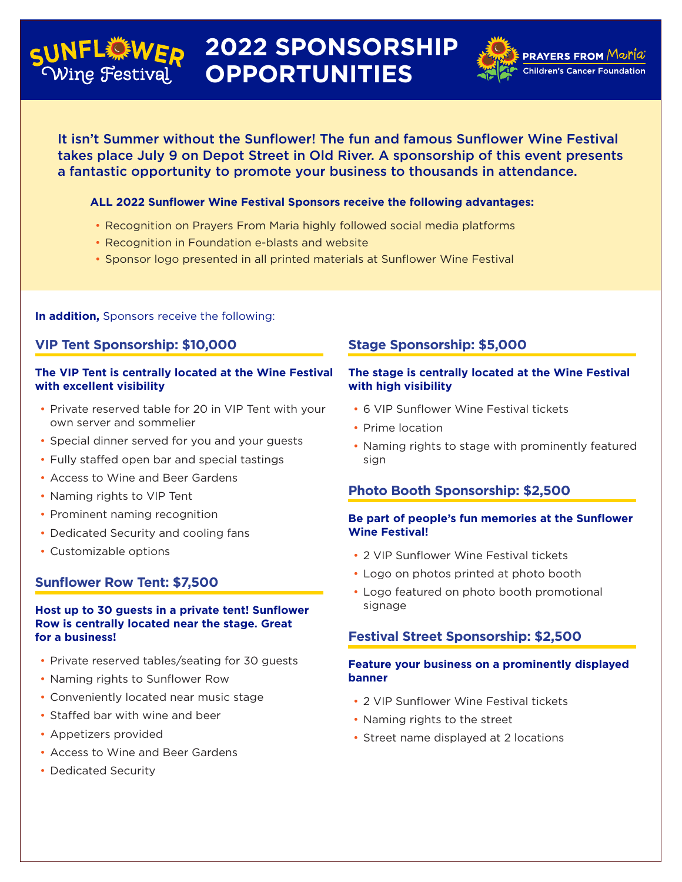#### **2022 SPONSORSHIP FL襟WED** Vine Festival **OPPORTUNITIES**



<code>PRAYERS</code> FROM  ${\sf M}$ øri $a$ **Children's Cancer Foundation** 

It isn't Summer without the Sunflower! The fun and famous Sunflower Wine Festival takes place July 9 on Depot Street in Old River. A sponsorship of this event presents a fantastic opportunity to promote your business to thousands in attendance.

### **ALL 2022 Sunflower Wine Festival Sponsors receive the following advantages:**

- Recognition on Prayers From Maria highly followed social media platforms
- Recognition in Foundation e-blasts and website
- Sponsor logo presented in all printed materials at Sunflower Wine Festival

**In addition,** Sponsors receive the following:

## **VIP Tent Sponsorship: \$10,000**

#### **The VIP Tent is centrally located at the Wine Festival with excellent visibility**

- Private reserved table for 20 in VIP Tent with your own server and sommelier
- Special dinner served for you and your guests
- Fully staffed open bar and special tastings
- Access to Wine and Beer Gardens
- Naming rights to VIP Tent
- Prominent naming recognition
- Dedicated Security and cooling fans
- Customizable options

## **Sunflower Row Tent: \$7,500**

#### **Host up to 30 guests in a private tent! Sunflower Row is centrally located near the stage. Great for a business!**

- Private reserved tables/seating for 30 guests
- Naming rights to Sunflower Row
- Conveniently located near music stage
- Staffed bar with wine and beer
- Appetizers provided
- Access to Wine and Beer Gardens
- Dedicated Security

## **Stage Sponsorship: \$5,000**

#### **The stage is centrally located at the Wine Festival with high visibility**

- 6 VIP Sunflower Wine Festival tickets
- Prime location
- Naming rights to stage with prominently featured sign

## **Photo Booth Sponsorship: \$2,500**

### **Be part of people's fun memories at the Sunflower Wine Festival!**

- 2 VIP Sunflower Wine Festival tickets
- Logo on photos printed at photo booth
- Logo featured on photo booth promotional signage

## **Festival Street Sponsorship: \$2,500**

#### **Feature your business on a prominently displayed banner**

- 2 VIP Sunflower Wine Festival tickets
- Naming rights to the street
- Street name displayed at 2 locations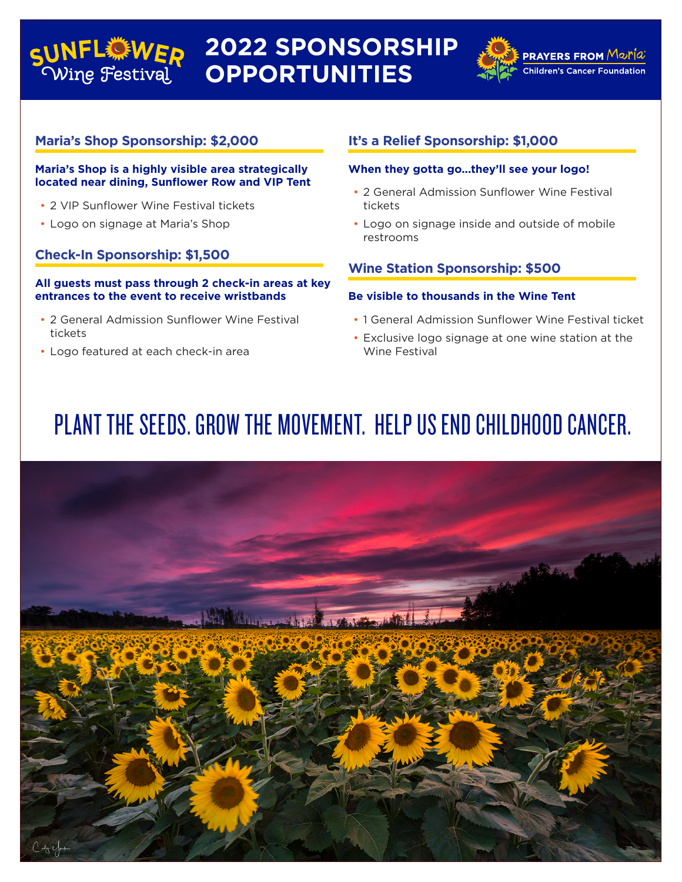### **2022 SPONSORSHIP**  SUNFLOWER Wine Festival **OPPORTUNITIES**



**PRAYERS FROM** Moria

**Children's Cancer Foundation** 

## **Maria's Shop Sponsorship: \$2,000**

#### **Maria's Shop is a highly visible area strategically located near dining, Sunflower Row and VIP Tent**

- 2 VIP Sunflower Wine Festival tickets
- Logo on signage at Maria's Shop

## **Check-In Sponsorship: \$1,500**

#### **All guests must pass through 2 check-in areas at key entrances to the event to receive wristbands**

- 2 General Admission Sunflower Wine Festival tickets
- Logo featured at each check-in area

## **It's a Relief Sponsorship: \$1,000**

#### **When they gotta go...they'll see your logo!**

- 2 General Admission Sunflower Wine Festival tickets
- Logo on signage inside and outside of mobile restrooms

## **Wine Station Sponsorship: \$500**

#### **Be visible to thousands in the Wine Tent**

- 1 General Admission Sunflower Wine Festival ticket
- Exclusive logo signage at one wine station at the Wine Festival

# PLANT THE SEEDS. GROW THE MOVEMENT. HELP US END CHILDHOOD CANCER.